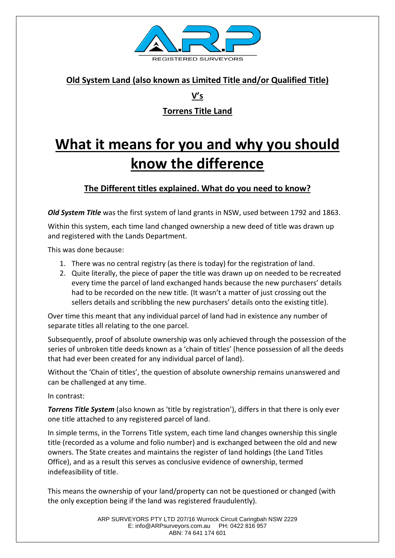

### **Old System Land (also known as Limited Title and/or Qualified Title)**

**V's**

# **Torrens Title Land**

# **What it means for you and why you should know the difference**

## **The Different titles explained. What do you need to know?**

*Old System Title* was the first system of land grants in NSW, used between 1792 and 1863.

Within this system, each time land changed ownership a new deed of title was drawn up and registered with the Lands Department.

This was done because:

- 1. There was no central registry (as there is today) for the registration of land.
- 2. Quite literally, the piece of paper the title was drawn up on needed to be recreated every time the parcel of land exchanged hands because the new purchasers' details had to be recorded on the new title. (It wasn't a matter of just crossing out the sellers details and scribbling the new purchasers' details onto the existing title).

Over time this meant that any individual parcel of land had in existence any number of separate titles all relating to the one parcel.

Subsequently, proof of absolute ownership was only achieved through the possession of the series of unbroken title deeds known as a 'chain of titles' (hence possession of all the deeds that had ever been created for any individual parcel of land).

Without the 'Chain of titles', the question of absolute ownership remains unanswered and can be challenged at any time.

In contrast:

*Torrens Title System* (also known as 'title by registration'), differs in that there is only ever one title attached to any registered parcel of land.

In simple terms, in the Torrens Title system, each time land changes ownership this single title (recorded as a volume and folio number) and is exchanged between the old and new owners. The State creates and maintains the register of land holdings (the Land Titles Office), and as a result this serves as conclusive evidence of ownership, termed indefeasibility of title.

This means the ownership of your land/property can not be questioned or changed (with the only exception being if the land was registered fraudulently).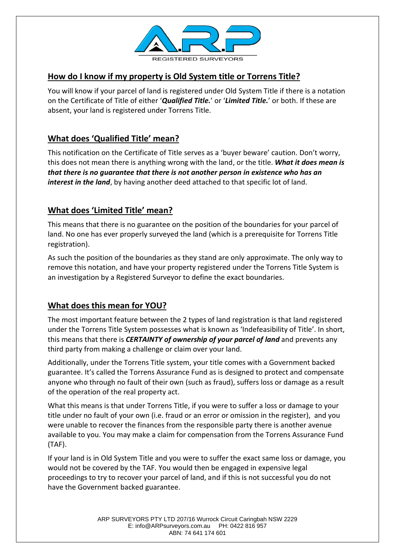

#### **How do I know if my property is Old System title or Torrens Title?**

You will know if your parcel of land is registered under Old System Title if there is a notation on the Certificate of Title of either '*Qualified Title.*' or '*Limited Title.*' or both. If these are absent, your land is registered under Torrens Title.

### **What does 'Qualified Title' mean?**

This notification on the Certificate of Title serves as a 'buyer beware' caution. Don't worry, this does not mean there is anything wrong with the land, or the title. *What it does mean is that there is no guarantee that there is not another person in existence who has an interest in the land*, by having another deed attached to that specific lot of land.

#### **What does 'Limited Title' mean?**

This means that there is no guarantee on the position of the boundaries for your parcel of land. No one has ever properly surveyed the land (which is a prerequisite for Torrens Title registration).

As such the position of the boundaries as they stand are only approximate. The only way to remove this notation, and have your property registered under the Torrens Title System is an investigation by a Registered Surveyor to define the exact boundaries.

#### **What does this mean for YOU?**

The most important feature between the 2 types of land registration is that land registered under the Torrens Title System possesses what is known as 'Indefeasibility of Title'. In short, this means that there is *CERTAINTY of ownership of your parcel of land* and prevents any third party from making a challenge or claim over your land.

Additionally, under the Torrens Title system, your title comes with a Government backed guarantee. It's called the Torrens Assurance Fund as is designed to protect and compensate anyone who through no fault of their own (such as fraud), suffers loss or damage as a result of the operation of the real property act.

What this means is that under Torrens Title, if you were to suffer a loss or damage to your title under no fault of your own (i.e. fraud or an error or omission in the register), and you were unable to recover the finances from the responsible party there is another avenue available to you. You may make a claim for compensation from the Torrens Assurance Fund (TAF).

If your land is in Old System Title and you were to suffer the exact same loss or damage, you would not be covered by the TAF. You would then be engaged in expensive legal proceedings to try to recover your parcel of land, and if this is not successful you do not have the Government backed guarantee.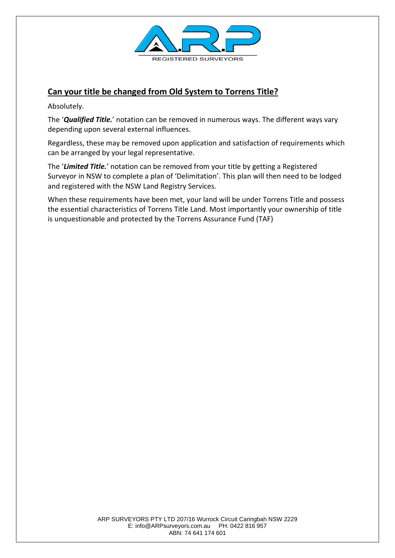

#### **Can your title be changed from Old System to Torrens Title?**

Absolutely.

The '*Qualified Title.*' notation can be removed in numerous ways. The different ways vary depending upon several external influences.

Regardless, these may be removed upon application and satisfaction of requirements which can be arranged by your legal representative.

The '*Limited Title.*' notation can be removed from your title by getting a Registered Surveyor in NSW to complete a plan of 'Delimitation'. This plan will then need to be lodged and registered with the NSW Land Registry Services.

When these requirements have been met, your land will be under Torrens Title and possess the essential characteristics of Torrens Title Land. Most importantly your ownership of title is unquestionable and protected by the Torrens Assurance Fund (TAF)